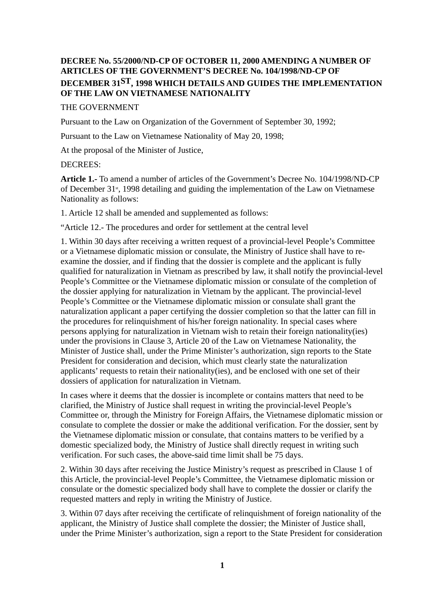## **DECREE No. 55/2000/ND-CP OF OCTOBER 11, 2000 AMENDING A NUMBER OF ARTICLES OF THE GOVERNMENT'S DECREE No. 104/1998/ND-CP OF DECEMBER 31ST, 1998 WHICH DETAILS AND GUIDES THE IMPLEMENTATION OF THE LAW ON VIETNAMESE NATIONALITY**

## THE GOVERNMENT

Pursuant to the Law on Organization of the Government of September 30, 1992;

Pursuant to the Law on Vietnamese Nationality of May 20, 1998;

At the proposal of the Minister of Justice,

## DECREES:

**Article 1.-** To amend a number of articles of the Government's Decree No. 104/1998/ND-CP of December 31<sup>st</sup>, 1998 detailing and guiding the implementation of the Law on Vietnamese Nationality as follows:

1. Article 12 shall be amended and supplemented as follows:

"Article 12.- The procedures and order for settlement at the central level

1. Within 30 days after receiving a written request of a provincial-level People's Committee or a Vietnamese diplomatic mission or consulate, the Ministry of Justice shall have to reexamine the dossier, and if finding that the dossier is complete and the applicant is fully qualified for naturalization in Vietnam as prescribed by law, it shall notify the provincial-level People's Committee or the Vietnamese diplomatic mission or consulate of the completion of the dossier applying for naturalization in Vietnam by the applicant. The provincial-level People's Committee or the Vietnamese diplomatic mission or consulate shall grant the naturalization applicant a paper certifying the dossier completion so that the latter can fill in the procedures for relinquishment of his/her foreign nationality. In special cases where persons applying for naturalization in Vietnam wish to retain their foreign nationality(ies) under the provisions in Clause 3, Article 20 of the Law on Vietnamese Nationality, the Minister of Justice shall, under the Prime Minister's authorization, sign reports to the State President for consideration and decision, which must clearly state the naturalization applicants' requests to retain their nationality(ies), and be enclosed with one set of their dossiers of application for naturalization in Vietnam.

In cases where it deems that the dossier is incomplete or contains matters that need to be clarified, the Ministry of Justice shall request in writing the provincial-level People's Committee or, through the Ministry for Foreign Affairs, the Vietnamese diplomatic mission or consulate to complete the dossier or make the additional verification. For the dossier, sent by the Vietnamese diplomatic mission or consulate, that contains matters to be verified by a domestic specialized body, the Ministry of Justice shall directly request in writing such verification. For such cases, the above-said time limit shall be 75 days.

2. Within 30 days after receiving the Justice Ministry's request as prescribed in Clause 1 of this Article, the provincial-level People's Committee, the Vietnamese diplomatic mission or consulate or the domestic specialized body shall have to complete the dossier or clarify the requested matters and reply in writing the Ministry of Justice.

3. Within 07 days after receiving the certificate of relinquishment of foreign nationality of the applicant, the Ministry of Justice shall complete the dossier; the Minister of Justice shall, under the Prime Minister's authorization, sign a report to the State President for consideration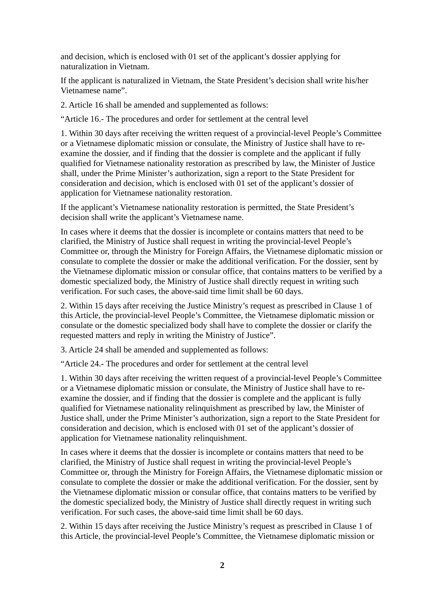and decision, which is enclosed with 01 set of the applicant's dossier applying for naturalization in Vietnam.

If the applicant is naturalized in Vietnam, the State President's decision shall write his/her Vietnamese name".

2. Article 16 shall be amended and supplemented as follows:

"Article 16.- The procedures and order for settlement at the central level

1. Within 30 days after receiving the written request of a provincial-level People's Committee or a Vietnamese diplomatic mission or consulate, the Ministry of Justice shall have to reexamine the dossier, and if finding that the dossier is complete and the applicant if fully qualified for Vietnamese nationality restoration as prescribed by law, the Minister of Justice shall, under the Prime Minister's authorization, sign a report to the State President for consideration and decision, which is enclosed with 01 set of the applicant's dossier of application for Vietnamese nationality restoration.

If the applicant's Vietnamese nationality restoration is permitted, the State President's decision shall write the applicant's Vietnamese name.

In cases where it deems that the dossier is incomplete or contains matters that need to be clarified, the Ministry of Justice shall request in writing the provincial-level People's Committee or, through the Ministry for Foreign Affairs, the Vietnamese diplomatic mission or consulate to complete the dossier or make the additional verification. For the dossier, sent by the Vietnamese diplomatic mission or consular office, that contains matters to be verified by a domestic specialized body, the Ministry of Justice shall directly request in writing such verification. For such cases, the above-said time limit shall be 60 days.

2. Within 15 days after receiving the Justice Ministry's request as prescribed in Clause 1 of this Article, the provincial-level People's Committee, the Vietnamese diplomatic mission or consulate or the domestic specialized body shall have to complete the dossier or clarify the requested matters and reply in writing the Ministry of Justice".

3. Article 24 shall be amended and supplemented as follows:

"Article 24.- The procedures and order for settlement at the central level

1. Within 30 days after receiving the written request of a provincial-level People's Committee or a Vietnamese diplomatic mission or consulate, the Ministry of Justice shall have to reexamine the dossier, and if finding that the dossier is complete and the applicant is fully qualified for Vietnamese nationality relinquishment as prescribed by law, the Minister of Justice shall, under the Prime Minister's authorization, sign a report to the State President for consideration and decision, which is enclosed with 01 set of the applicant's dossier of application for Vietnamese nationality relinquishment.

In cases where it deems that the dossier is incomplete or contains matters that need to be clarified, the Ministry of Justice shall request in writing the provincial-level People's Committee or, through the Ministry for Foreign Affairs, the Vietnamese diplomatic mission or consulate to complete the dossier or make the additional verification. For the dossier, sent by the Vietnamese diplomatic mission or consular office, that contains matters to be verified by the domestic specialized body, the Ministry of Justice shall directly request in writing such verification. For such cases, the above-said time limit shall be 60 days.

2. Within 15 days after receiving the Justice Ministry's request as prescribed in Clause 1 of this Article, the provincial-level People's Committee, the Vietnamese diplomatic mission or